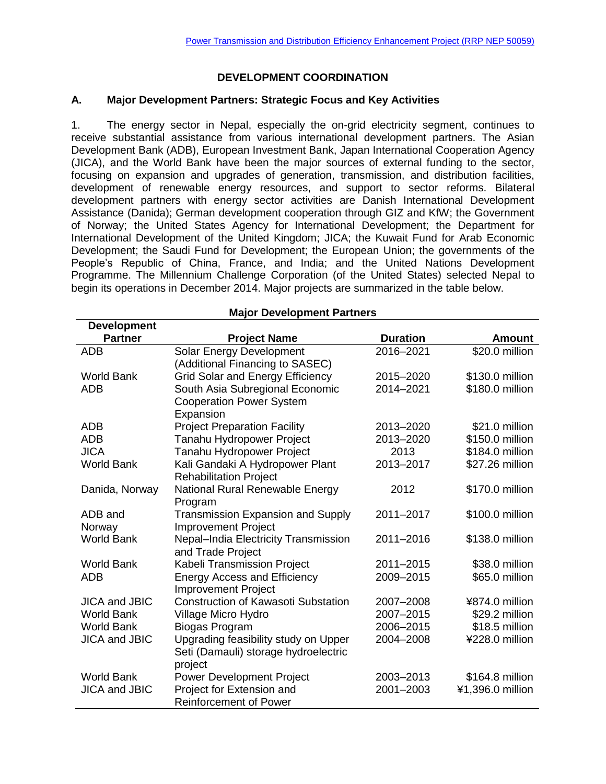# **DEVELOPMENT COORDINATION**

## **A. Major Development Partners: Strategic Focus and Key Activities**

1. The energy sector in Nepal, especially the on-grid electricity segment, continues to receive substantial assistance from various international development partners. The Asian Development Bank (ADB), European Investment Bank, Japan International Cooperation Agency (JICA), and the World Bank have been the major sources of external funding to the sector, focusing on expansion and upgrades of generation, transmission, and distribution facilities, development of renewable energy resources, and support to sector reforms. Bilateral development partners with energy sector activities are Danish International Development Assistance (Danida); German development cooperation through GIZ and KfW; the Government of Norway; the United States Agency for International Development; the Department for International Development of the United Kingdom; JICA; the Kuwait Fund for Arab Economic Development; the Saudi Fund for Development; the European Union; the governments of the People's Republic of China, France, and India; and the United Nations Development Programme. The Millennium Challenge Corporation (of the United States) selected Nepal to begin its operations in December 2014. Major projects are summarized in the table below.

| <b>Development</b>   |                                            |                 |                  |
|----------------------|--------------------------------------------|-----------------|------------------|
| <b>Partner</b>       | <b>Project Name</b>                        | <b>Duration</b> | <b>Amount</b>    |
| <b>ADB</b>           | Solar Energy Development                   | 2016-2021       | \$20.0 million   |
|                      | (Additional Financing to SASEC)            |                 |                  |
| <b>World Bank</b>    | <b>Grid Solar and Energy Efficiency</b>    | 2015-2020       | \$130.0 million  |
| <b>ADB</b>           | South Asia Subregional Economic            | 2014-2021       | \$180.0 million  |
|                      | <b>Cooperation Power System</b>            |                 |                  |
|                      | Expansion                                  |                 |                  |
| <b>ADB</b>           | <b>Project Preparation Facility</b>        | 2013-2020       | \$21.0 million   |
| <b>ADB</b>           | Tanahu Hydropower Project                  | 2013-2020       | \$150.0 million  |
| <b>JICA</b>          | Tanahu Hydropower Project                  | 2013            | \$184.0 million  |
| <b>World Bank</b>    | Kali Gandaki A Hydropower Plant            | 2013-2017       | \$27.26 million  |
|                      | <b>Rehabilitation Project</b>              |                 |                  |
| Danida, Norway       | National Rural Renewable Energy            | 2012            | \$170.0 million  |
|                      | Program                                    |                 |                  |
| ADB and              | <b>Transmission Expansion and Supply</b>   | 2011-2017       | \$100.0 million  |
| Norway               | <b>Improvement Project</b>                 |                 |                  |
| <b>World Bank</b>    | Nepal-India Electricity Transmission       | 2011-2016       | \$138.0 million  |
|                      | and Trade Project                          |                 |                  |
| <b>World Bank</b>    | Kabeli Transmission Project                | 2011-2015       | \$38.0 million   |
| <b>ADB</b>           | <b>Energy Access and Efficiency</b>        | 2009-2015       | \$65.0 million   |
|                      | <b>Improvement Project</b>                 |                 |                  |
| <b>JICA and JBIC</b> | <b>Construction of Kawasoti Substation</b> | 2007-2008       | ¥874.0 million   |
| <b>World Bank</b>    | Village Micro Hydro                        | 2007-2015       | \$29.2 million   |
| <b>World Bank</b>    | Biogas Program                             | 2006-2015       | \$18.5 million   |
| <b>JICA and JBIC</b> | Upgrading feasibility study on Upper       | 2004-2008       | ¥228.0 million   |
|                      | Seti (Damauli) storage hydroelectric       |                 |                  |
|                      | project                                    |                 |                  |
| <b>World Bank</b>    | <b>Power Development Project</b>           | 2003-2013       | \$164.8 million  |
| <b>JICA and JBIC</b> | Project for Extension and                  | 2001-2003       | ¥1,396.0 million |
|                      | <b>Reinforcement of Power</b>              |                 |                  |

#### **Major Development Partners**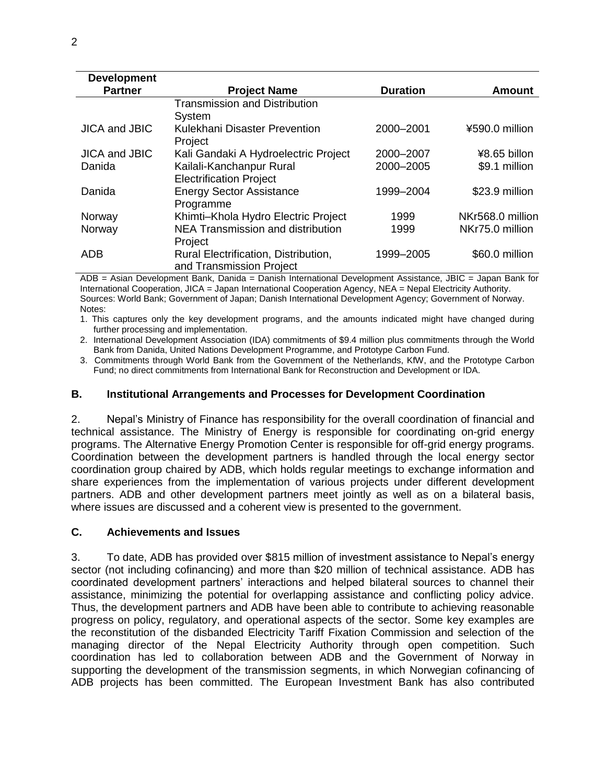| <b>Development</b>   |                                      |                 |                  |
|----------------------|--------------------------------------|-----------------|------------------|
| <b>Partner</b>       | <b>Project Name</b>                  | <b>Duration</b> | <b>Amount</b>    |
|                      | <b>Transmission and Distribution</b> |                 |                  |
|                      | System                               |                 |                  |
| <b>JICA and JBIC</b> | Kulekhani Disaster Prevention        | 2000-2001       | ¥590.0 million   |
|                      | Project                              |                 |                  |
| <b>JICA and JBIC</b> | Kali Gandaki A Hydroelectric Project | 2000-2007       | ¥8.65 billon     |
| Danida               | Kailali-Kanchanpur Rural             | 2000-2005       | \$9.1 million    |
|                      | <b>Electrification Project</b>       |                 |                  |
| Danida               | <b>Energy Sector Assistance</b>      | 1999-2004       | \$23.9 million   |
|                      | Programme                            |                 |                  |
| Norway               | Khimti-Khola Hydro Electric Project  | 1999            | NKr568.0 million |
| Norway               | NEA Transmission and distribution    | 1999            | NKr75.0 million  |
|                      | Project                              |                 |                  |
| ADB                  | Rural Electrification, Distribution, | 1999-2005       | \$60.0 million   |
|                      | and Transmission Project             |                 |                  |

ADB = Asian Development Bank, Danida = Danish International Development Assistance, JBIC = Japan Bank for International Cooperation, JICA = Japan International Cooperation Agency, NEA = Nepal Electricity Authority. Sources: World Bank; Government of Japan; Danish International Development Agency; Government of Norway. Notes:

1. This captures only the key development programs, and the amounts indicated might have changed during further processing and implementation.

2. International Development Association (IDA) commitments of \$9.4 million plus commitments through the World Bank from Danida, United Nations Development Programme, and Prototype Carbon Fund.

3. Commitments through World Bank from the Government of the Netherlands, KfW, and the Prototype Carbon Fund; no direct commitments from International Bank for Reconstruction and Development or IDA.

### **B. Institutional Arrangements and Processes for Development Coordination**

2. Nepal's Ministry of Finance has responsibility for the overall coordination of financial and technical assistance. The Ministry of Energy is responsible for coordinating on-grid energy programs. The Alternative Energy Promotion Center is responsible for off-grid energy programs. Coordination between the development partners is handled through the local energy sector coordination group chaired by ADB, which holds regular meetings to exchange information and share experiences from the implementation of various projects under different development partners. ADB and other development partners meet jointly as well as on a bilateral basis, where issues are discussed and a coherent view is presented to the government.

### **C. Achievements and Issues**

3. To date, ADB has provided over \$815 million of investment assistance to Nepal's energy sector (not including cofinancing) and more than \$20 million of technical assistance. ADB has coordinated development partners' interactions and helped bilateral sources to channel their assistance, minimizing the potential for overlapping assistance and conflicting policy advice. Thus, the development partners and ADB have been able to contribute to achieving reasonable progress on policy, regulatory, and operational aspects of the sector. Some key examples are the reconstitution of the disbanded Electricity Tariff Fixation Commission and selection of the managing director of the Nepal Electricity Authority through open competition. Such coordination has led to collaboration between ADB and the Government of Norway in supporting the development of the transmission segments, in which Norwegian cofinancing of ADB projects has been committed. The European Investment Bank has also contributed